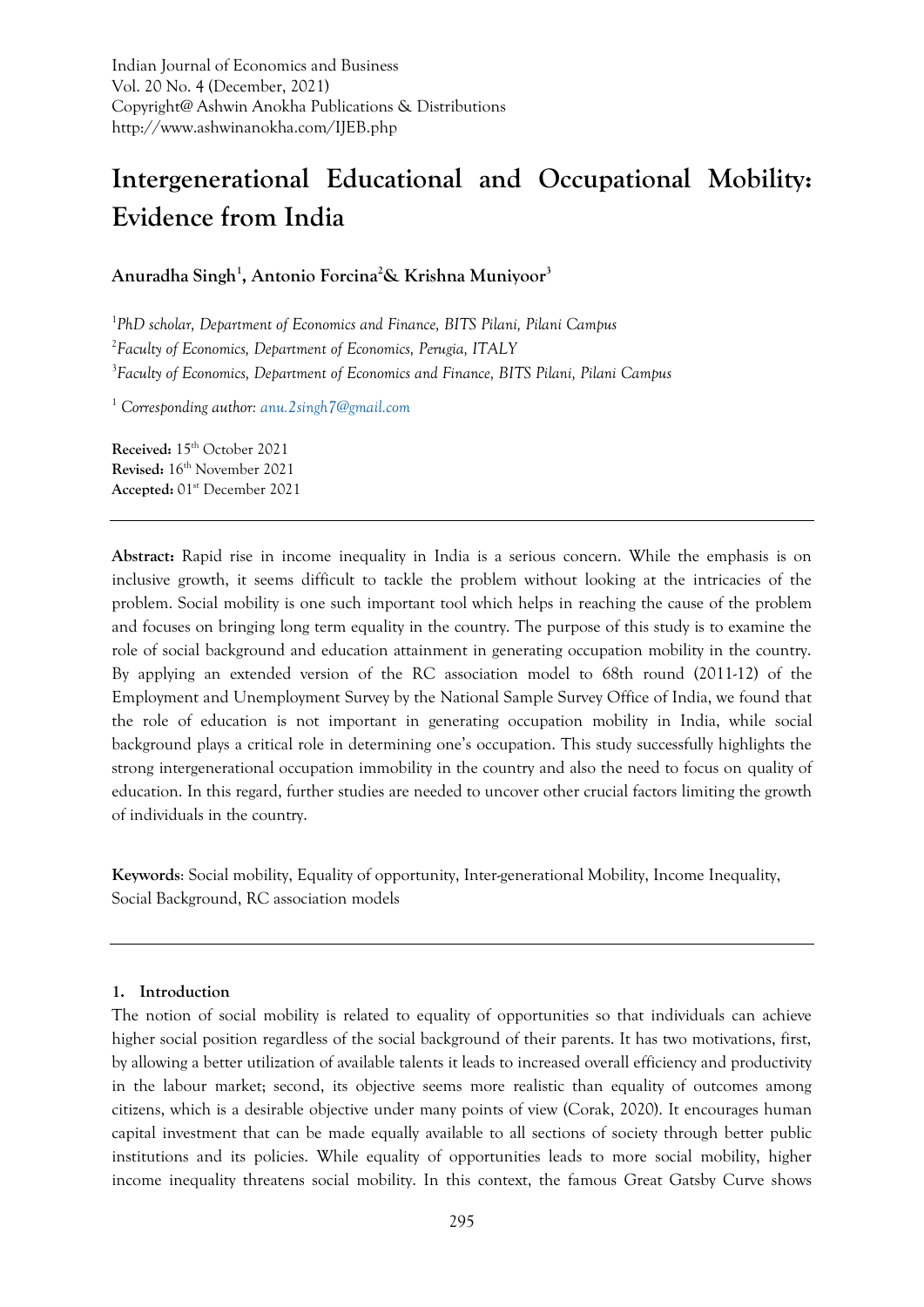# **Intergenerational Educational and Occupational Mobility: Evidence from India**

**Anuradha Singh<sup>1</sup> , Antonio Forcina<sup>2</sup>& Krishna Muniyoor<sup>3</sup>**

1 *PhD scholar, Department of Economics and Finance, BITS Pilani, Pilani Campus* 2 *Faculty of Economics, Department of Economics, Perugia, ITALY* 3 *Faculty of Economics, Department of Economics and Finance, BITS Pilani, Pilani Campus*

<sup>1</sup> *Corresponding author: [anu.2singh7@gmail.com](mailto:anu.2singh7@gmail.com)*

**Received:** 15th October 2021 **Revised:** 16th November 2021 **Accepted:** 01st December 2021

**Abstract:** Rapid rise in income inequality in India is a serious concern. While the emphasis is on inclusive growth, it seems difficult to tackle the problem without looking at the intricacies of the problem. Social mobility is one such important tool which helps in reaching the cause of the problem and focuses on bringing long term equality in the country. The purpose of this study is to examine the role of social background and education attainment in generating occupation mobility in the country. By applying an extended version of the RC association model to 68th round (2011-12) of the Employment and Unemployment Survey by the National Sample Survey Office of India, we found that the role of education is not important in generating occupation mobility in India, while social background plays a critical role in determining one's occupation. This study successfully highlights the strong intergenerational occupation immobility in the country and also the need to focus on quality of education. In this regard, further studies are needed to uncover other crucial factors limiting the growth of individuals in the country.

**Keywords**: Social mobility, Equality of opportunity, Inter-generational Mobility, Income Inequality, Social Background, RC association models

## **1. Introduction**

The notion of social mobility is related to equality of opportunities so that individuals can achieve higher social position regardless of the social background of their parents. It has two motivations, first, by allowing a better utilization of available talents it leads to increased overall efficiency and productivity in the labour market; second, its objective seems more realistic than equality of outcomes among citizens, which is a desirable objective under many points of view (Corak, 2020). It encourages human capital investment that can be made equally available to all sections of society through better public institutions and its policies. While equality of opportunities leads to more social mobility, higher income inequality threatens social mobility. In this context, the famous Great Gatsby Curve shows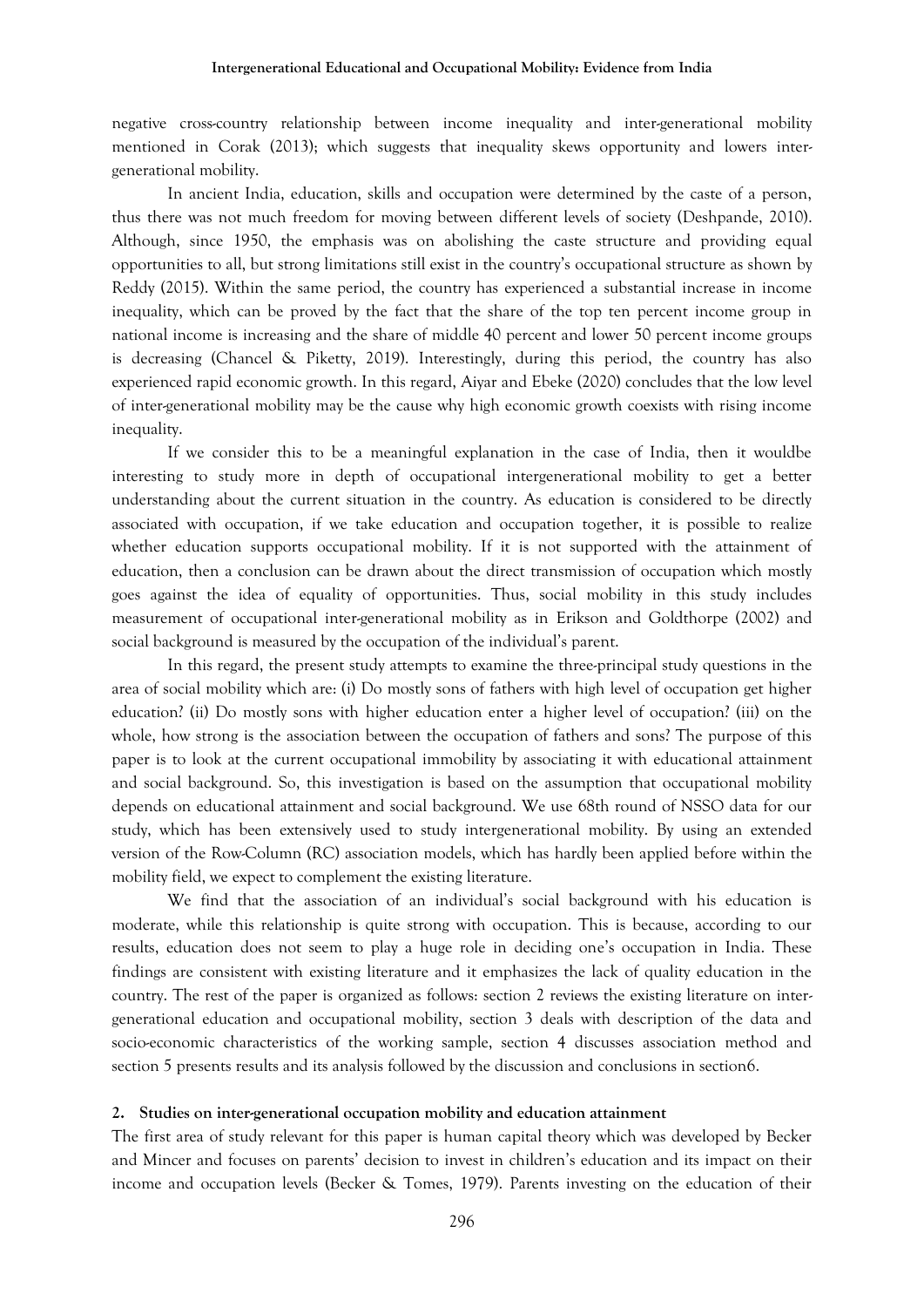negative cross-country relationship between income inequality and inter-generational mobility mentioned in Corak (2013); which suggests that inequality skews opportunity and lowers intergenerational mobility.

In ancient India, education, skills and occupation were determined by the caste of a person, thus there was not much freedom for moving between different levels of society (Deshpande, 2010). Although, since 1950, the emphasis was on abolishing the caste structure and providing equal opportunities to all, but strong limitations still exist in the country's occupational structure as shown by Reddy (2015). Within the same period, the country has experienced a substantial increase in income inequality, which can be proved by the fact that the share of the top ten percent income group in national income is increasing and the share of middle 40 percent and lower 50 percent income groups is decreasing (Chancel & Piketty, 2019). Interestingly, during this period, the country has also experienced rapid economic growth. In this regard, Aiyar and Ebeke (2020) concludes that the low level of inter-generational mobility may be the cause why high economic growth coexists with rising income inequality.

If we consider this to be a meaningful explanation in the case of India, then it wouldbe interesting to study more in depth of occupational intergenerational mobility to get a better understanding about the current situation in the country. As education is considered to be directly associated with occupation, if we take education and occupation together, it is possible to realize whether education supports occupational mobility. If it is not supported with the attainment of education, then a conclusion can be drawn about the direct transmission of occupation which mostly goes against the idea of equality of opportunities. Thus, social mobility in this study includes measurement of occupational inter-generational mobility as in Erikson and Goldthorpe (2002) and social background is measured by the occupation of the individual's parent.

In this regard, the present study attempts to examine the three-principal study questions in the area of social mobility which are: (i) Do mostly sons of fathers with high level of occupation get higher education? (ii) Do mostly sons with higher education enter a higher level of occupation? (iii) on the whole, how strong is the association between the occupation of fathers and sons? The purpose of this paper is to look at the current occupational immobility by associating it with educational attainment and social background. So, this investigation is based on the assumption that occupational mobility depends on educational attainment and social background. We use 68th round of NSSO data for our study, which has been extensively used to study intergenerational mobility. By using an extended version of the Row-Column (RC) association models, which has hardly been applied before within the mobility field, we expect to complement the existing literature.

We find that the association of an individual's social background with his education is moderate, while this relationship is quite strong with occupation. This is because, according to our results, education does not seem to play a huge role in deciding one's occupation in India. These findings are consistent with existing literature and it emphasizes the lack of quality education in the country. The rest of the paper is organized as follows: section 2 reviews the existing literature on intergenerational education and occupational mobility, section 3 deals with description of the data and socio-economic characteristics of the working sample, section 4 discusses association method and section 5 presents results and its analysis followed by the discussion and conclusions in section6.

#### **2. Studies on inter-generational occupation mobility and education attainment**

The first area of study relevant for this paper is human capital theory which was developed by Becker and Mincer and focuses on parents' decision to invest in children's education and its impact on their income and occupation levels (Becker & Tomes, 1979). Parents investing on the education of their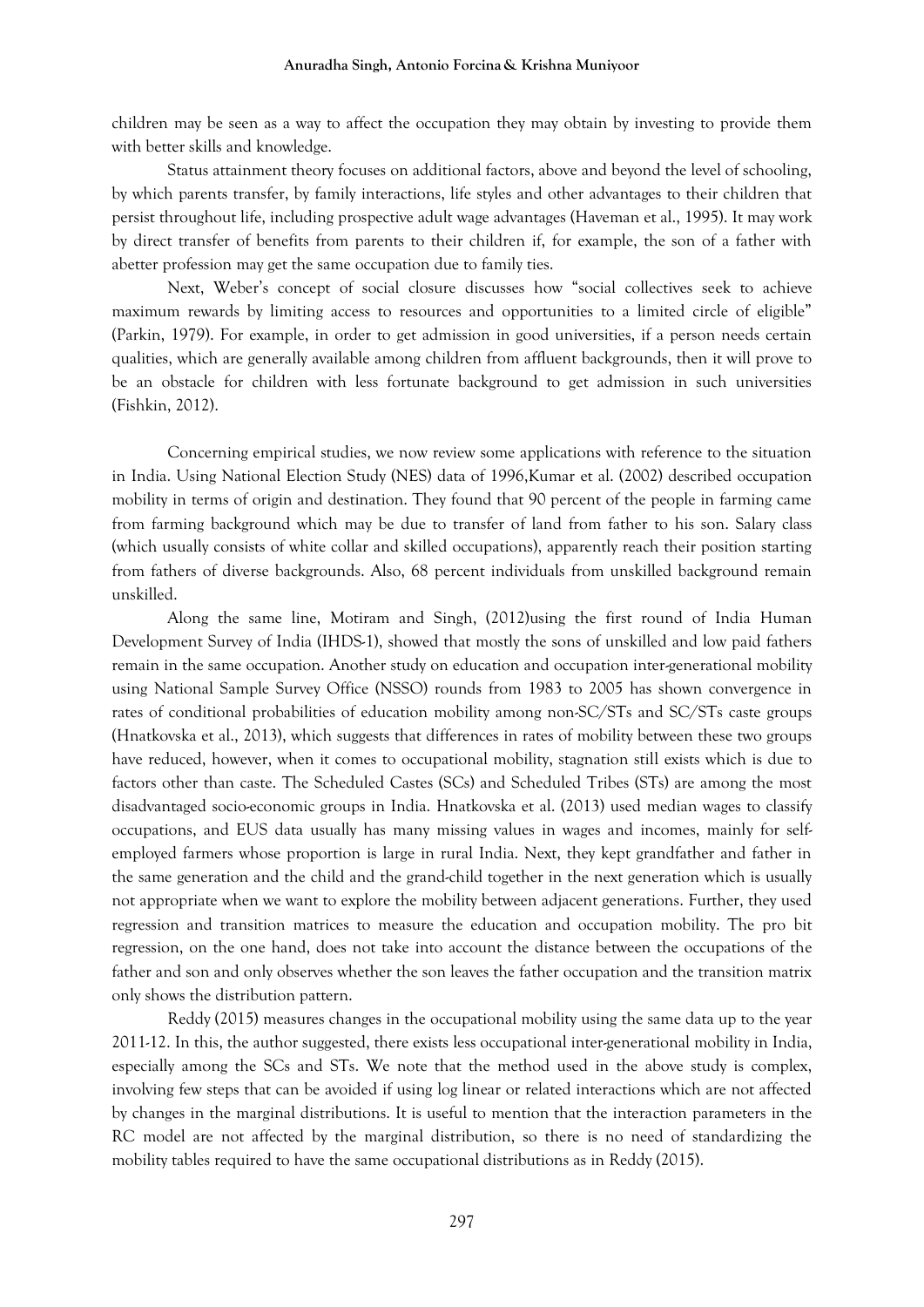children may be seen as a way to affect the occupation they may obtain by investing to provide them with better skills and knowledge.

Status attainment theory focuses on additional factors, above and beyond the level of schooling, by which parents transfer, by family interactions, life styles and other advantages to their children that persist throughout life, including prospective adult wage advantages (Haveman et al., 1995). It may work by direct transfer of benefits from parents to their children if, for example, the son of a father with abetter profession may get the same occupation due to family ties.

Next, Weber's concept of social closure discusses how "social collectives seek to achieve maximum rewards by limiting access to resources and opportunities to a limited circle of eligible" (Parkin, 1979). For example, in order to get admission in good universities, if a person needs certain qualities, which are generally available among children from affluent backgrounds, then it will prove to be an obstacle for children with less fortunate background to get admission in such universities (Fishkin, 2012).

Concerning empirical studies, we now review some applications with reference to the situation in India. Using National Election Study (NES) data of 1996,Kumar et al. (2002) described occupation mobility in terms of origin and destination. They found that 90 percent of the people in farming came from farming background which may be due to transfer of land from father to his son. Salary class (which usually consists of white collar and skilled occupations), apparently reach their position starting from fathers of diverse backgrounds. Also, 68 percent individuals from unskilled background remain unskilled.

Along the same line, Motiram and Singh, (2012)using the first round of India Human Development Survey of India (IHDS-1), showed that mostly the sons of unskilled and low paid fathers remain in the same occupation. Another study on education and occupation inter-generational mobility using National Sample Survey Office (NSSO) rounds from 1983 to 2005 has shown convergence in rates of conditional probabilities of education mobility among non-SC/STs and SC/STs caste groups (Hnatkovska et al., 2013), which suggests that differences in rates of mobility between these two groups have reduced, however, when it comes to occupational mobility, stagnation still exists which is due to factors other than caste. The Scheduled Castes (SCs) and Scheduled Tribes (STs) are among the most disadvantaged socio-economic groups in India. Hnatkovska et al. (2013) used median wages to classify occupations, and EUS data usually has many missing values in wages and incomes, mainly for selfemployed farmers whose proportion is large in rural India. Next, they kept grandfather and father in the same generation and the child and the grand-child together in the next generation which is usually not appropriate when we want to explore the mobility between adjacent generations. Further, they used regression and transition matrices to measure the education and occupation mobility. The pro bit regression, on the one hand, does not take into account the distance between the occupations of the father and son and only observes whether the son leaves the father occupation and the transition matrix only shows the distribution pattern.

Reddy (2015) measures changes in the occupational mobility using the same data up to the year 2011-12. In this, the author suggested, there exists less occupational inter-generational mobility in India, especially among the SCs and STs. We note that the method used in the above study is complex, involving few steps that can be avoided if using log linear or related interactions which are not affected by changes in the marginal distributions. It is useful to mention that the interaction parameters in the RC model are not affected by the marginal distribution, so there is no need of standardizing the mobility tables required to have the same occupational distributions as in Reddy (2015).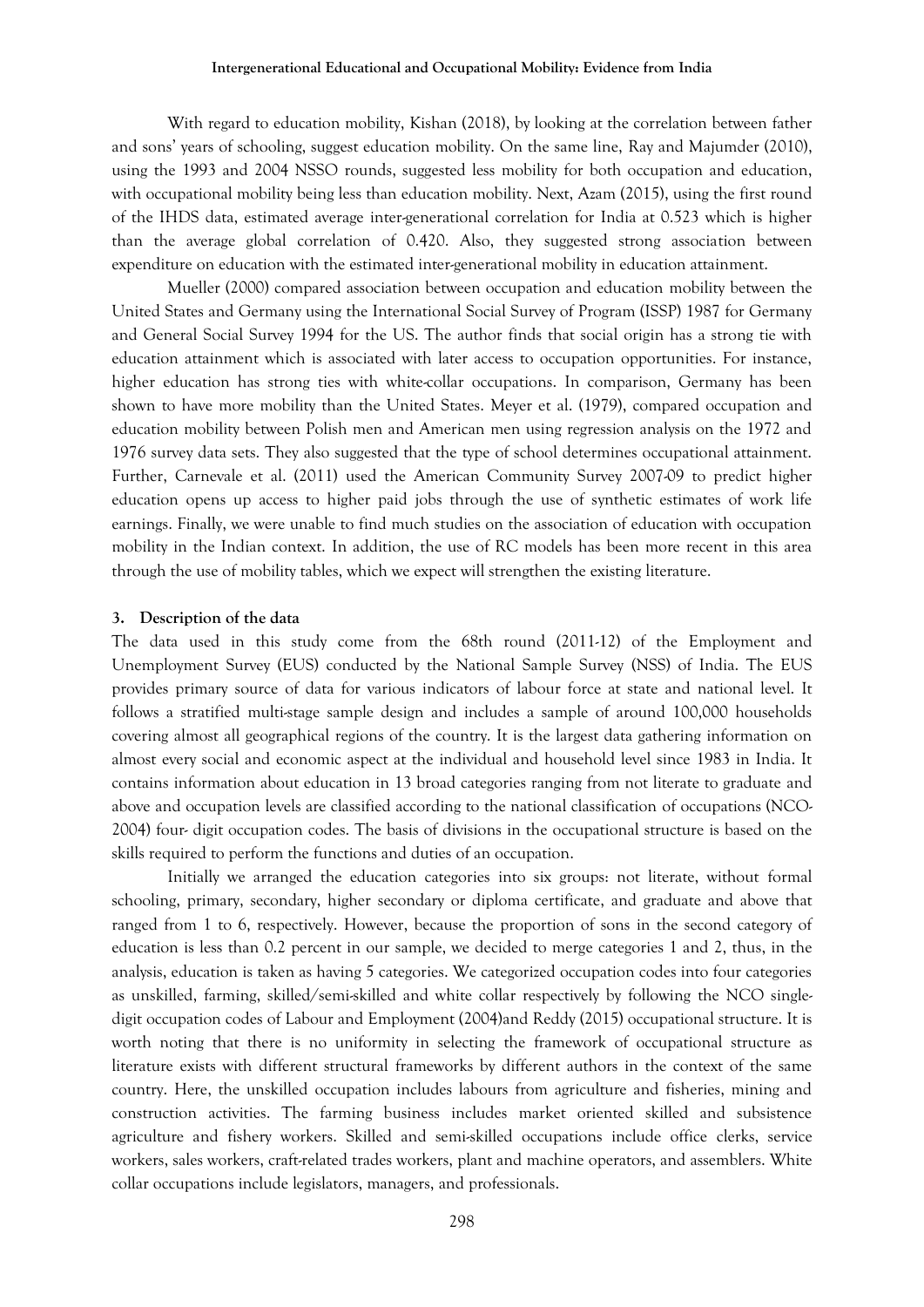With regard to education mobility, Kishan (2018), by looking at the correlation between father and sons' years of schooling, suggest education mobility. On the same line, Ray and Majumder (2010), using the 1993 and 2004 NSSO rounds, suggested less mobility for both occupation and education, with occupational mobility being less than education mobility. Next, Azam (2015), using the first round of the IHDS data, estimated average inter-generational correlation for India at 0.523 which is higher than the average global correlation of 0.420. Also, they suggested strong association between expenditure on education with the estimated inter-generational mobility in education attainment.

Mueller (2000) compared association between occupation and education mobility between the United States and Germany using the International Social Survey of Program (ISSP) 1987 for Germany and General Social Survey 1994 for the US. The author finds that social origin has a strong tie with education attainment which is associated with later access to occupation opportunities. For instance, higher education has strong ties with white-collar occupations. In comparison, Germany has been shown to have more mobility than the United States. Meyer et al. (1979), compared occupation and education mobility between Polish men and American men using regression analysis on the 1972 and 1976 survey data sets. They also suggested that the type of school determines occupational attainment. Further, Carnevale et al. (2011) used the American Community Survey 2007-09 to predict higher education opens up access to higher paid jobs through the use of synthetic estimates of work life earnings. Finally, we were unable to find much studies on the association of education with occupation mobility in the Indian context. In addition, the use of RC models has been more recent in this area through the use of mobility tables, which we expect will strengthen the existing literature.

### **3. Description of the data**

The data used in this study come from the 68th round (2011-12) of the Employment and Unemployment Survey (EUS) conducted by the National Sample Survey (NSS) of India. The EUS provides primary source of data for various indicators of labour force at state and national level. It follows a stratified multi-stage sample design and includes a sample of around 100,000 households covering almost all geographical regions of the country. It is the largest data gathering information on almost every social and economic aspect at the individual and household level since 1983 in India. It contains information about education in 13 broad categories ranging from not literate to graduate and above and occupation levels are classified according to the national classification of occupations (NCO-2004) four- digit occupation codes. The basis of divisions in the occupational structure is based on the skills required to perform the functions and duties of an occupation.

Initially we arranged the education categories into six groups: not literate, without formal schooling, primary, secondary, higher secondary or diploma certificate, and graduate and above that ranged from 1 to 6, respectively. However, because the proportion of sons in the second category of education is less than 0.2 percent in our sample, we decided to merge categories 1 and 2, thus, in the analysis, education is taken as having 5 categories. We categorized occupation codes into four categories as unskilled, farming, skilled/semi-skilled and white collar respectively by following the NCO singledigit occupation codes of Labour and Employment (2004)and Reddy (2015) occupational structure. It is worth noting that there is no uniformity in selecting the framework of occupational structure as literature exists with different structural frameworks by different authors in the context of the same country. Here, the unskilled occupation includes labours from agriculture and fisheries, mining and construction activities. The farming business includes market oriented skilled and subsistence agriculture and fishery workers. Skilled and semi-skilled occupations include office clerks, service workers, sales workers, craft-related trades workers, plant and machine operators, and assemblers. White collar occupations include legislators, managers, and professionals.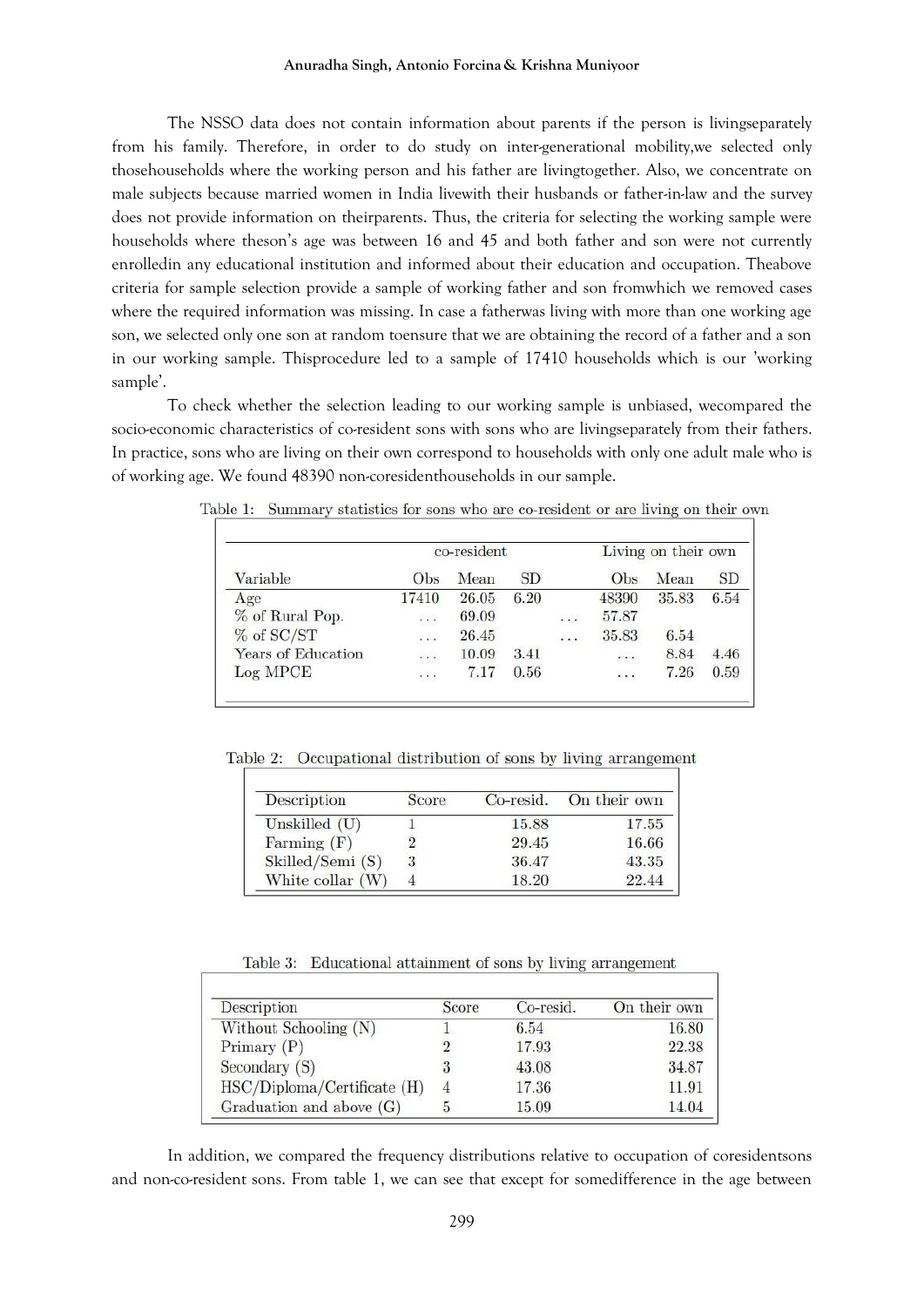The NSSO data does not contain information about parents if the person is livingseparately from his family. Therefore, in order to do study on inter-generational mobility,we selected only thosehouseholds where the working person and his father are livingtogether. Also, we concentrate on male subjects because married women in India livewith their husbands or father-in-law and the survey does not provide information on theirparents. Thus, the criteria for selecting the working sample were households where theson's age was between 16 and 45 and both father and son were not currently enrolledin any educational institution and informed about their education and occupation. Theabove criteria for sample selection provide a sample of working father and son fromwhich we removed cases where the required information was missing. In case a fatherwas living with more than one working age son, we selected only one son at random toensure that we are obtaining the record of a father and a son in our working sample. Thisprocedure led to a sample of 17410 households which is our 'working sample'.

To check whether the selection leading to our working sample is unbiased, wecompared the socio-economic characteristics of co-resident sons with sons who are livingseparately from their fathers. In practice, sons who are living on their own correspond to households with only one adult male who is of working age. We found 48390 non-coresidenthouseholds in our sample.

|                    | co-resident |       |      |          | Living on their own |       |           |  |
|--------------------|-------------|-------|------|----------|---------------------|-------|-----------|--|
| Variable           | Obs         | Mean  | SD   |          | Obs                 | Mean  | <b>SD</b> |  |
| Age                | 17410       | 26.05 | 6.20 |          | 48390               | 35.83 | 6.54      |  |
| % of Rural Pop.    | $\cdots$    | 69.09 |      | $\ldots$ | 57.87               |       |           |  |
| $%$ of SC/ST       | $\cdot$ .   | 26.45 |      | $\cdot$  | 35.83               | 6.54  |           |  |
| Years of Education | $\cdots$    | 10.09 | 3.41 |          | $\cdot$ .           | 8.84  | 4.46      |  |
| Log MPCE           | .           | 7.17  | 0.56 |          | $\cdots$            | 7.26  | 0.59      |  |

Table 1: Summary statistics for sons who are co-resident or are living on their own

Table 2: Occupational distribution of sons by living arrangement

| Description        | Score | Co-resid. | On their own |  |
|--------------------|-------|-----------|--------------|--|
| Unskilled $(U)$    |       | 15.88     | 17.55        |  |
| Farming $(F)$      |       | 29.45     | 16.66        |  |
| Skilled/Semi (S)   | 3     | 36.47     | 43.35        |  |
| White collar $(W)$ |       | 18.20     | 22.44        |  |

Table 3: Educational attainment of sons by living arrangement

| Description                   | Score | Co-resid. | On their own |
|-------------------------------|-------|-----------|--------------|
| Without Schooling (N)         |       | 6.54      | 16.80        |
| Primary $(P)$                 |       | 17.93     | 22.38        |
| Secondary (S)                 |       | 43.08     | 34.87        |
| $HSC/Diploma/Certificate$ (H) |       | 17.36     | 11.91        |
| Graduation and above $(G)$    |       | 15.09     | 14.04        |

In addition, we compared the frequency distributions relative to occupation of coresidentsons and non-co-resident sons. From table 1, we can see that except for somedifference in the age between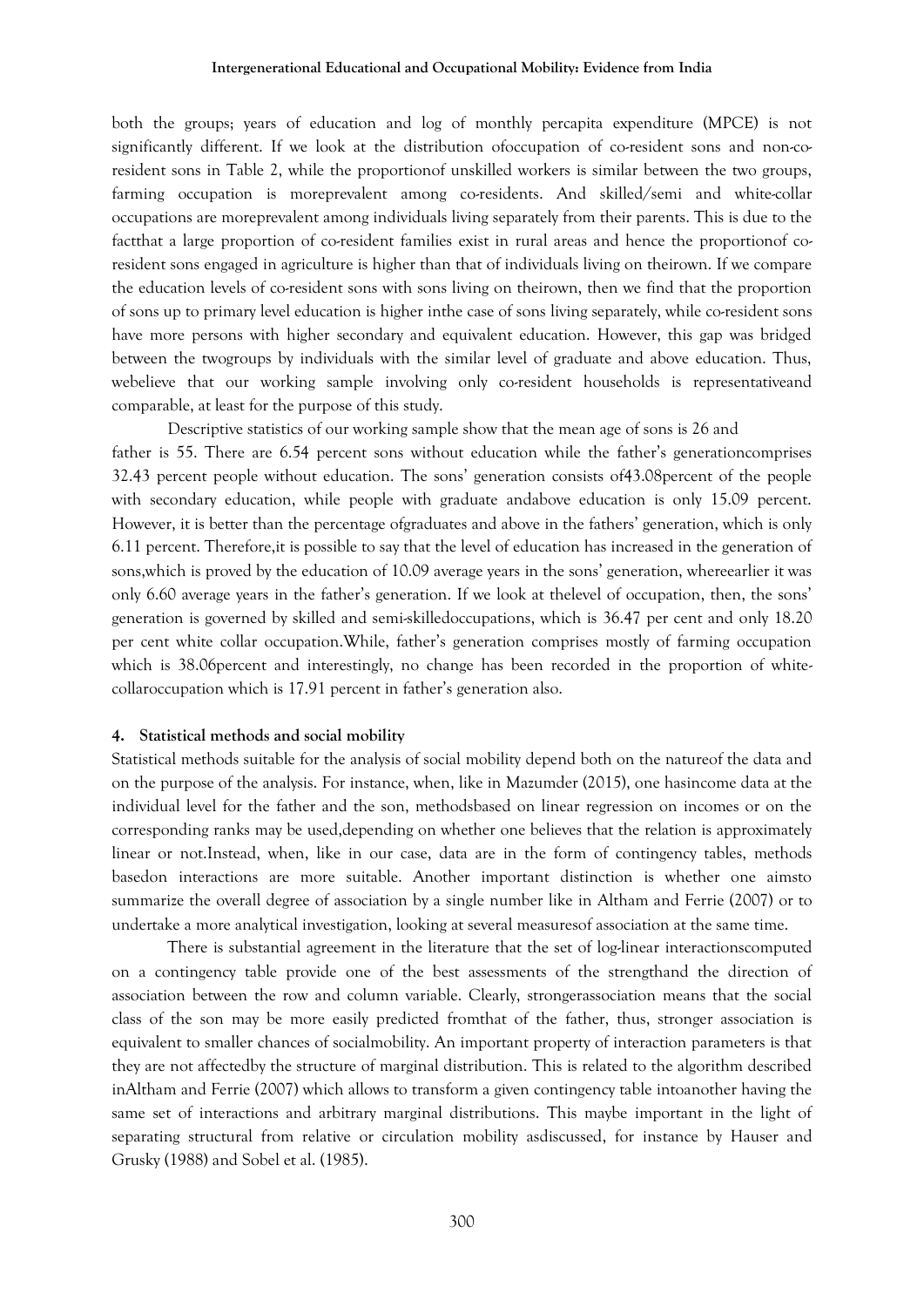both the groups; years of education and log of monthly percapita expenditure (MPCE) is not significantly different. If we look at the distribution ofoccupation of co-resident sons and non-coresident sons in Table 2, while the proportionof unskilled workers is similar between the two groups, farming occupation is moreprevalent among co-residents. And skilled/semi and white-collar occupations are moreprevalent among individuals living separately from their parents. This is due to the factthat a large proportion of co-resident families exist in rural areas and hence the proportionof coresident sons engaged in agriculture is higher than that of individuals living on theirown. If we compare the education levels of co-resident sons with sons living on theirown, then we find that the proportion of sons up to primary level education is higher inthe case of sons living separately, while co-resident sons have more persons with higher secondary and equivalent education. However, this gap was bridged between the twogroups by individuals with the similar level of graduate and above education. Thus, webelieve that our working sample involving only co-resident households is representativeand comparable, at least for the purpose of this study.

Descriptive statistics of our working sample show that the mean age of sons is 26 and father is 55. There are 6.54 percent sons without education while the father's generationcomprises 32.43 percent people without education. The sons' generation consists of43.08percent of the people with secondary education, while people with graduate andabove education is only 15.09 percent. However, it is better than the percentage ofgraduates and above in the fathers' generation, which is only 6.11 percent. Therefore,it is possible to say that the level of education has increased in the generation of sons,which is proved by the education of 10.09 average years in the sons' generation, whereearlier it was only 6.60 average years in the father's generation. If we look at thelevel of occupation, then, the sons' generation is governed by skilled and semi-skilledoccupations, which is 36.47 per cent and only 18.20 per cent white collar occupation.While, father's generation comprises mostly of farming occupation which is 38.06 percent and interestingly, no change has been recorded in the proportion of whitecollaroccupation which is 17.91 percent in father's generation also.

## **4. Statistical methods and social mobility**

Statistical methods suitable for the analysis of social mobility depend both on the natureof the data and on the purpose of the analysis. For instance, when, like in Mazumder (2015), one hasincome data at the individual level for the father and the son, methodsbased on linear regression on incomes or on the corresponding ranks may be used,depending on whether one believes that the relation is approximately linear or not.Instead, when, like in our case, data are in the form of contingency tables, methods basedon interactions are more suitable. Another important distinction is whether one aimsto summarize the overall degree of association by a single number like in Altham and Ferrie (2007) or to undertake a more analytical investigation, looking at several measuresof association at the same time.

There is substantial agreement in the literature that the set of log-linear interactionscomputed on a contingency table provide one of the best assessments of the strengthand the direction of association between the row and column variable. Clearly, strongerassociation means that the social class of the son may be more easily predicted fromthat of the father, thus, stronger association is equivalent to smaller chances of socialmobility. An important property of interaction parameters is that they are not affectedby the structure of marginal distribution. This is related to the algorithm described inAltham and Ferrie (2007) which allows to transform a given contingency table intoanother having the same set of interactions and arbitrary marginal distributions. This maybe important in the light of separating structural from relative or circulation mobility asdiscussed, for instance by Hauser and Grusky (1988) and Sobel et al. (1985).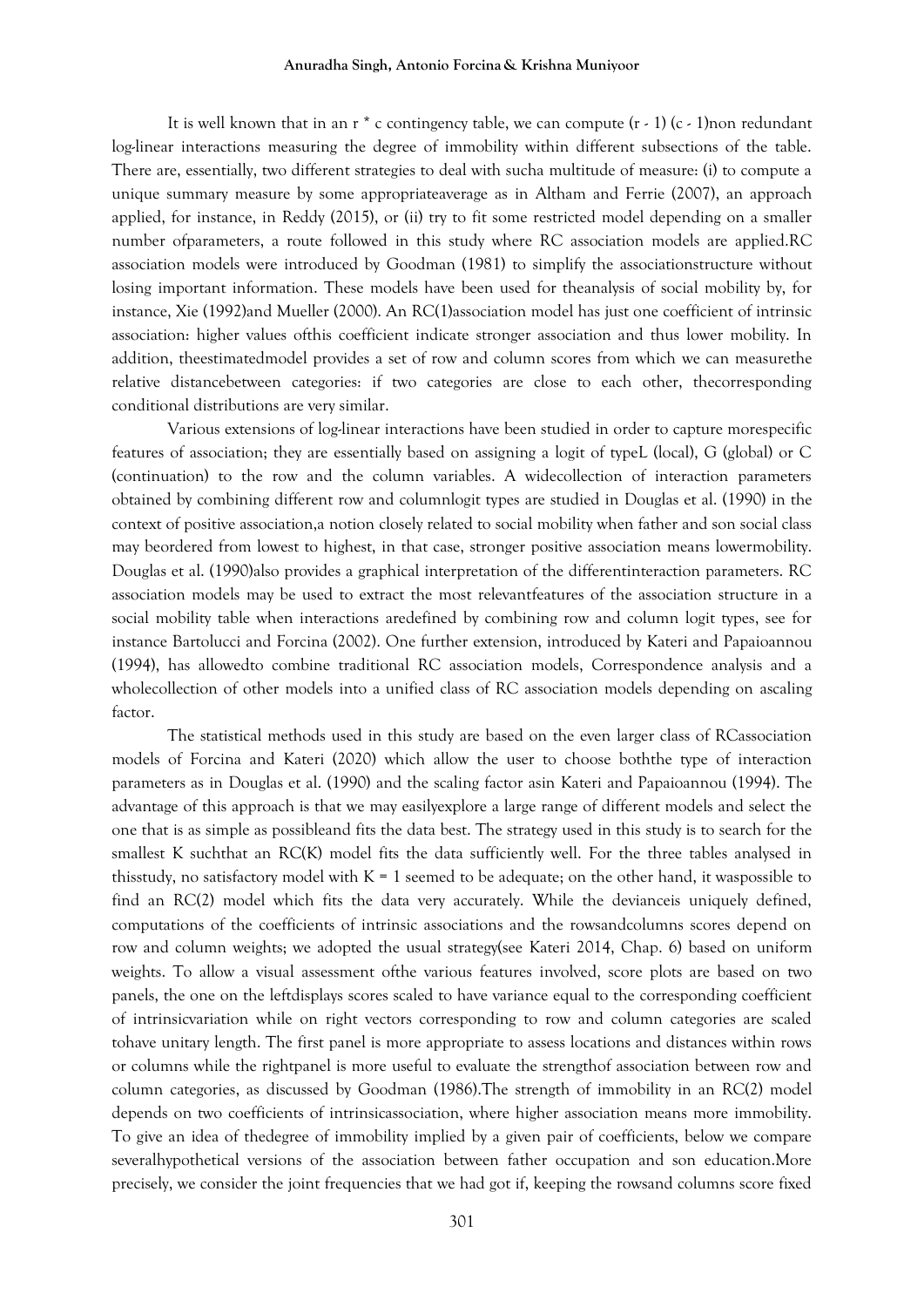#### **Anuradha Singh, Antonio Forcina & Krishna Muniyoor**

It is well known that in an r<sup>\*</sup> c contingency table, we can compute  $(r - 1)(c - 1)$  non redundant log-linear interactions measuring the degree of immobility within different subsections of the table. There are, essentially, two different strategies to deal with sucha multitude of measure: (i) to compute a unique summary measure by some appropriateaverage as in Altham and Ferrie (2007), an approach applied, for instance, in Reddy (2015), or (ii) try to fit some restricted model depending on a smaller number ofparameters, a route followed in this study where RC association models are applied.RC association models were introduced by Goodman (1981) to simplify the associationstructure without losing important information. These models have been used for theanalysis of social mobility by, for instance, Xie (1992)and Mueller (2000). An RC(1)association model has just one coefficient of intrinsic association: higher values ofthis coefficient indicate stronger association and thus lower mobility. In addition, theestimatedmodel provides a set of row and column scores from which we can measurethe relative distancebetween categories: if two categories are close to each other, thecorresponding conditional distributions are very similar.

Various extensions of log-linear interactions have been studied in order to capture morespecific features of association; they are essentially based on assigning a logit of typeL (local), G (global) or C (continuation) to the row and the column variables. A widecollection of interaction parameters obtained by combining different row and columnlogit types are studied in Douglas et al. (1990) in the context of positive association,a notion closely related to social mobility when father and son social class may beordered from lowest to highest, in that case, stronger positive association means lowermobility. Douglas et al. (1990)also provides a graphical interpretation of the differentinteraction parameters. RC association models may be used to extract the most relevantfeatures of the association structure in a social mobility table when interactions aredefined by combining row and column logit types, see for instance Bartolucci and Forcina (2002). One further extension, introduced by Kateri and Papaioannou (1994), has allowedto combine traditional RC association models, Correspondence analysis and a wholecollection of other models into a unified class of RC association models depending on ascaling factor.

The statistical methods used in this study are based on the even larger class of RCassociation models of Forcina and Kateri (2020) which allow the user to choose boththe type of interaction parameters as in Douglas et al. (1990) and the scaling factor asin Kateri and Papaioannou (1994). The advantage of this approach is that we may easilyexplore a large range of different models and select the one that is as simple as possibleand fits the data best. The strategy used in this study is to search for the smallest K suchthat an RC(K) model fits the data sufficiently well. For the three tables analysed in thisstudy, no satisfactory model with  $K = 1$  seemed to be adequate; on the other hand, it waspossible to find an RC(2) model which fits the data very accurately. While the devianceis uniquely defined, computations of the coefficients of intrinsic associations and the rowsandcolumns scores depend on row and column weights; we adopted the usual strategy(see Kateri 2014, Chap. 6) based on uniform weights. To allow a visual assessment ofthe various features involved, score plots are based on two panels, the one on the leftdisplays scores scaled to have variance equal to the corresponding coefficient of intrinsicvariation while on right vectors corresponding to row and column categories are scaled tohave unitary length. The first panel is more appropriate to assess locations and distances within rows or columns while the rightpanel is more useful to evaluate the strengthof association between row and column categories, as discussed by Goodman (1986).The strength of immobility in an RC(2) model depends on two coefficients of intrinsicassociation, where higher association means more immobility. To give an idea of thedegree of immobility implied by a given pair of coefficients, below we compare severalhypothetical versions of the association between father occupation and son education.More precisely, we consider the joint frequencies that we had got if, keeping the rowsand columns score fixed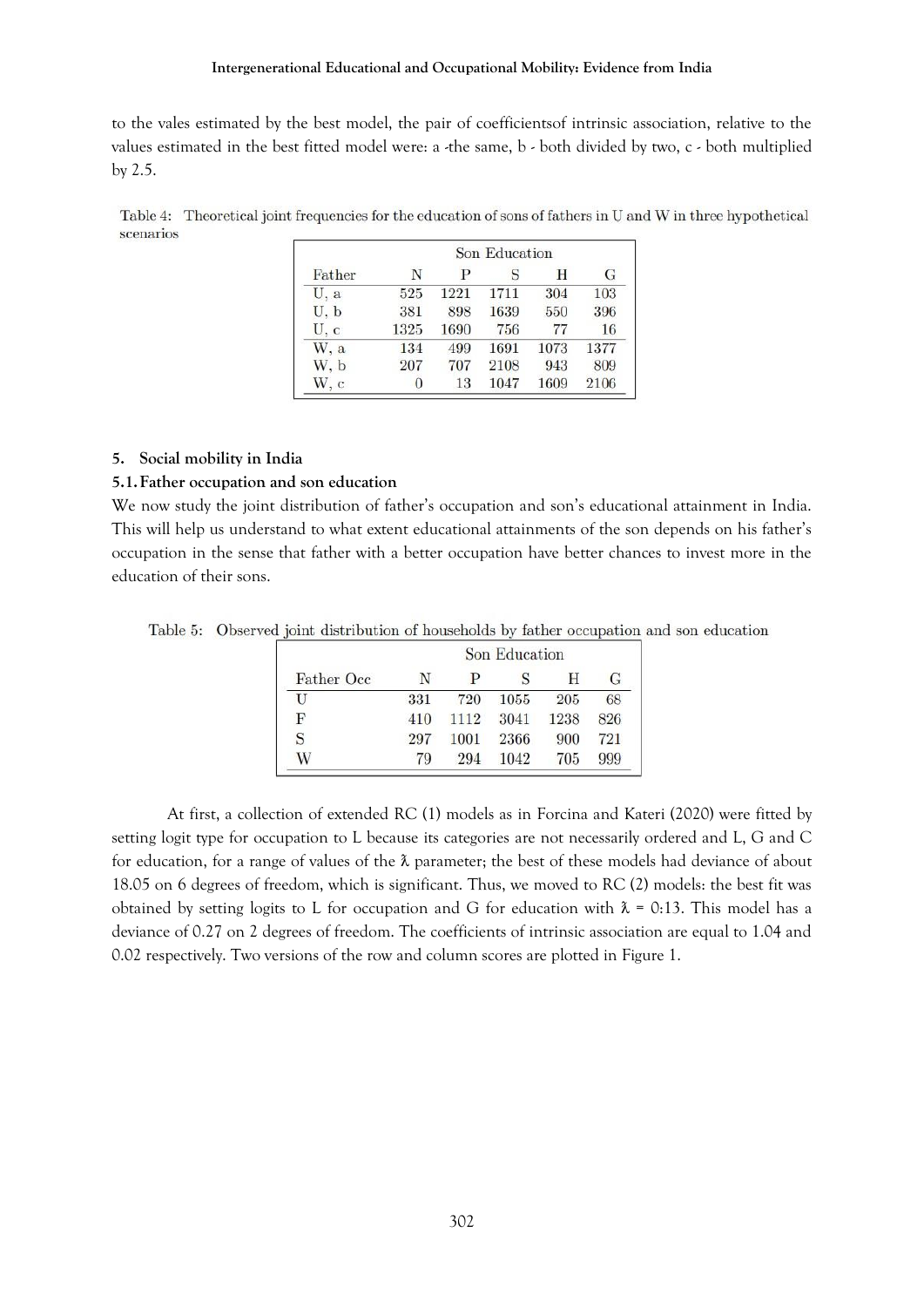to the vales estimated by the best model, the pair of coefficientsof intrinsic association, relative to the values estimated in the best fitted model were: a -the same, b - both divided by two, c - both multiplied by 2.5.

Table 4: Theoretical joint frequencies for the education of sons of fathers in U and W in three hypothetical scenarios

| Father | Son Education |      |      |      |      |  |  |
|--------|---------------|------|------|------|------|--|--|
|        | N             | P    | S    | H    | G    |  |  |
| U, a   | 525           | 1221 | 1711 | 304  | 103  |  |  |
| U, b   | 381           | 898  | 1639 | 550  | 396  |  |  |
| U, c   | 1325          | 1690 | 756  | 77   | 16   |  |  |
| W.a    | 134           | 499  | 1691 | 1073 | 1377 |  |  |
| W, b   | 207           | 707  | 2108 | 943  | 809  |  |  |
| W. c   |               | 13   | 1047 | 1609 | 2106 |  |  |

# **5. Social mobility in India**

# **5.1.Father occupation and son education**

We now study the joint distribution of father's occupation and son's educational attainment in India. This will help us understand to what extent educational attainments of the son depends on his father's occupation in the sense that father with a better occupation have better chances to invest more in the education of their sons.

Table 5: Observed joint distribution of households by father occupation and son education

| Father Occ | Son Education |      |      |      |     |  |
|------------|---------------|------|------|------|-----|--|
|            | N             | P    |      | н    | G   |  |
| U          | 331           | 720  | 1055 | 205  | 68  |  |
| F          | 410           | 1112 | 3041 | 1238 | 826 |  |
| S          | 297           | 1001 | 2366 | 900  | 721 |  |
| W          | 79            | 294  | 1042 | 705  | 999 |  |

At first, a collection of extended RC (1) models as in Forcina and Kateri (2020) were fitted by setting logit type for occupation to L because its categories are not necessarily ordered and L, G and C for education, for a range of values of the  $\lambda$  parameter; the best of these models had deviance of about 18.05 on 6 degrees of freedom, which is significant. Thus, we moved to RC (2) models: the best fit was obtained by setting logits to L for occupation and G for education with  $\lambda = 0.13$ . This model has a deviance of 0.27 on 2 degrees of freedom. The coefficients of intrinsic association are equal to 1.04 and 0.02 respectively. Two versions of the row and column scores are plotted in Figure 1.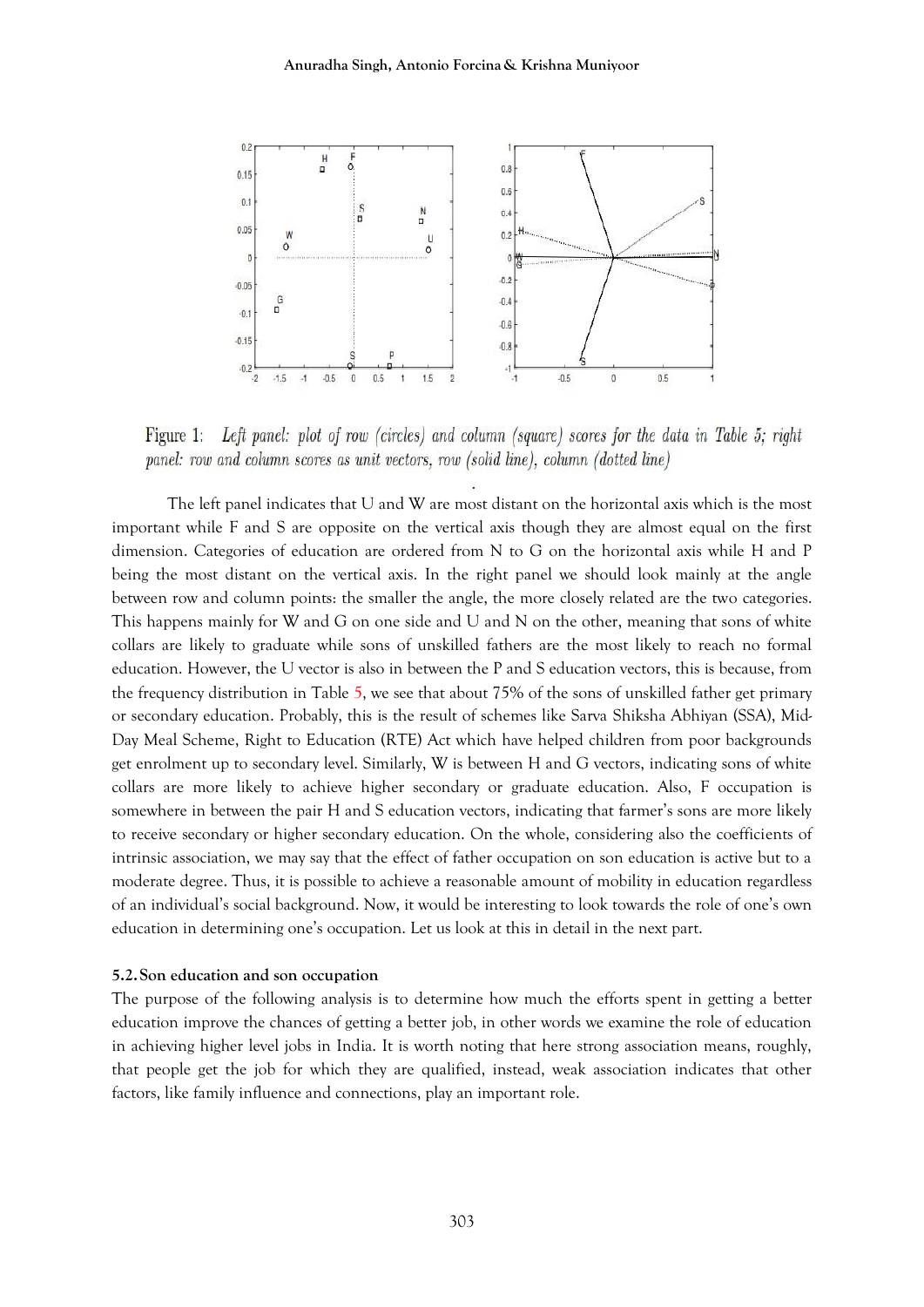

Figure 1: Left panel: plot of row (circles) and column (square) scores for the data in Table 5: right panel: row and column scores as unit vectors, row (solid line), column (dotted line)

The left panel indicates that U and W are most distant on the horizontal axis which is the most important while F and S are opposite on the vertical axis though they are almost equal on the first dimension. Categories of education are ordered from N to G on the horizontal axis while H and P being the most distant on the vertical axis. In the right panel we should look mainly at the angle between row and column points: the smaller the angle, the more closely related are the two categories. This happens mainly for W and G on one side and U and N on the other, meaning that sons of white collars are likely to graduate while sons of unskilled fathers are the most likely to reach no formal education. However, the U vector is also in between the P and S education vectors, this is because, from the frequency distribution in Table 5, we see that about 75% of the sons of unskilled father get primary or secondary education. Probably, this is the result of schemes like Sarva Shiksha Abhiyan (SSA), Mid-Day Meal Scheme, Right to Education (RTE) Act which have helped children from poor backgrounds get enrolment up to secondary level. Similarly, W is between H and G vectors, indicating sons of white collars are more likely to achieve higher secondary or graduate education. Also, F occupation is somewhere in between the pair H and S education vectors, indicating that farmer's sons are more likely to receive secondary or higher secondary education. On the whole, considering also the coefficients of intrinsic association, we may say that the effect of father occupation on son education is active but to a moderate degree. Thus, it is possible to achieve a reasonable amount of mobility in education regardless of an individual's social background. Now, it would be interesting to look towards the role of one's own education in determining one's occupation. Let us look at this in detail in the next part.

## **5.2.Son education and son occupation**

The purpose of the following analysis is to determine how much the efforts spent in getting a better education improve the chances of getting a better job, in other words we examine the role of education in achieving higher level jobs in India. It is worth noting that here strong association means, roughly, that people get the job for which they are qualified, instead, weak association indicates that other factors, like family influence and connections, play an important role.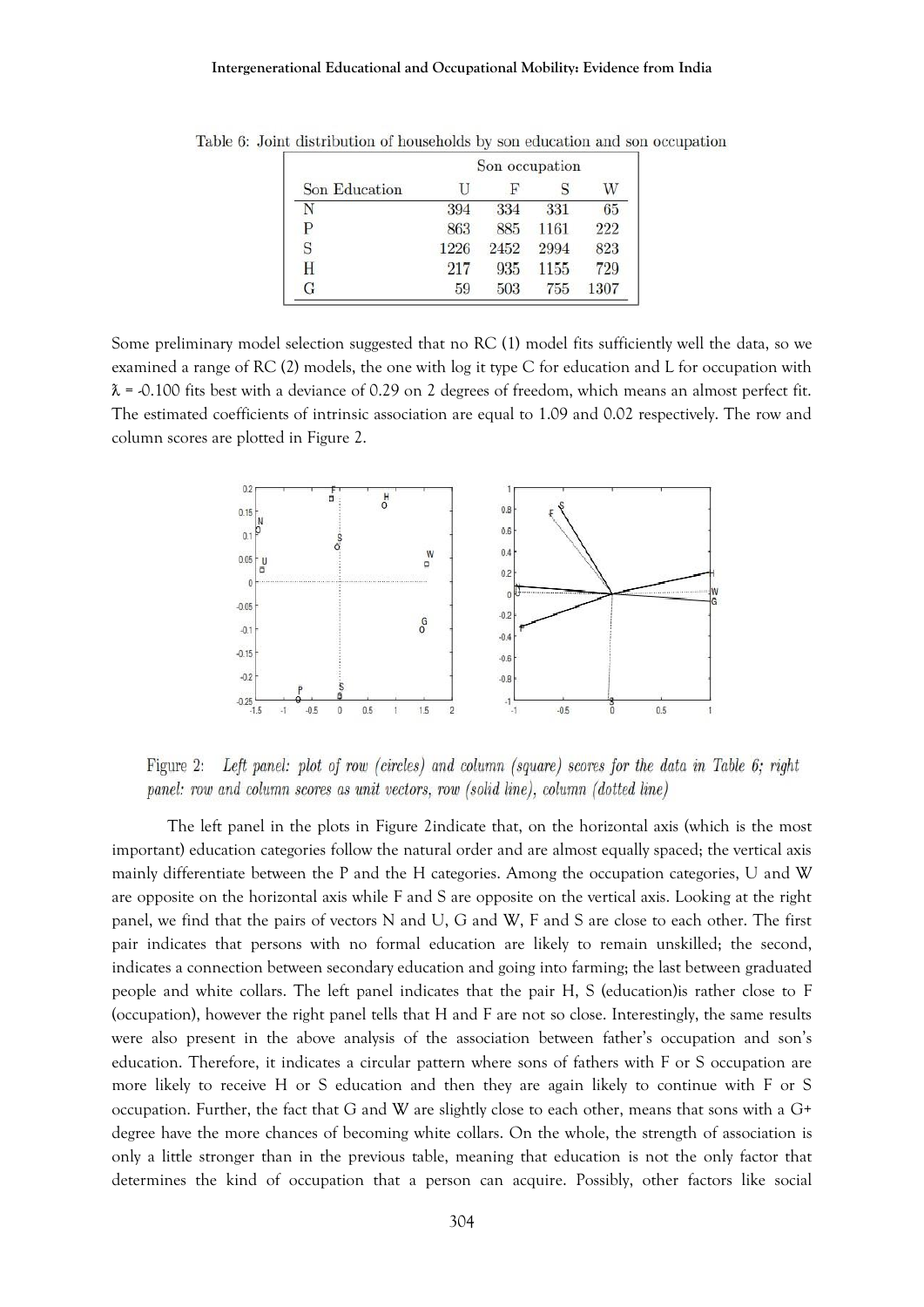|               | Son occupation |      |      |      |  |  |
|---------------|----------------|------|------|------|--|--|
| Son Education |                | F    |      |      |  |  |
| N             | 394            | 334  | 331  | 65   |  |  |
| Р             | 863            | 885  | 1161 | 222  |  |  |
|               | 1226           | 2452 | 2994 | 823  |  |  |
| H             | 217            | 935  | 1155 | 729  |  |  |
| G             | 59             | 503  | 755  | 1307 |  |  |

Table 6: Joint distribution of households by son education and son occupation

Some preliminary model selection suggested that no RC (1) model fits sufficiently well the data, so we examined a range of RC (2) models, the one with log it type C for education and L for occupation with  $\lambda$  = -0.100 fits best with a deviance of 0.29 on 2 degrees of freedom, which means an almost perfect fit. The estimated coefficients of intrinsic association are equal to 1.09 and 0.02 respectively. The row and column scores are plotted in Figure 2.



Left panel: plot of row (circles) and column (square) scores for the data in Table 6; right Figure 2: panel: row and column scores as unit vectors, row (solid line), column (dotted line)

The left panel in the plots in Figure 2indicate that, on the horizontal axis (which is the most important) education categories follow the natural order and are almost equally spaced; the vertical axis mainly differentiate between the P and the H categories. Among the occupation categories, U and W are opposite on the horizontal axis while F and S are opposite on the vertical axis. Looking at the right panel, we find that the pairs of vectors N and U, G and W, F and S are close to each other. The first pair indicates that persons with no formal education are likely to remain unskilled; the second, indicates a connection between secondary education and going into farming; the last between graduated people and white collars. The left panel indicates that the pair H, S (education)is rather close to F (occupation), however the right panel tells that H and F are not so close. Interestingly, the same results were also present in the above analysis of the association between father's occupation and son's education. Therefore, it indicates a circular pattern where sons of fathers with F or S occupation are more likely to receive H or S education and then they are again likely to continue with F or S occupation. Further, the fact that G and W are slightly close to each other, means that sons with a G+ degree have the more chances of becoming white collars. On the whole, the strength of association is only a little stronger than in the previous table, meaning that education is not the only factor that determines the kind of occupation that a person can acquire. Possibly, other factors like social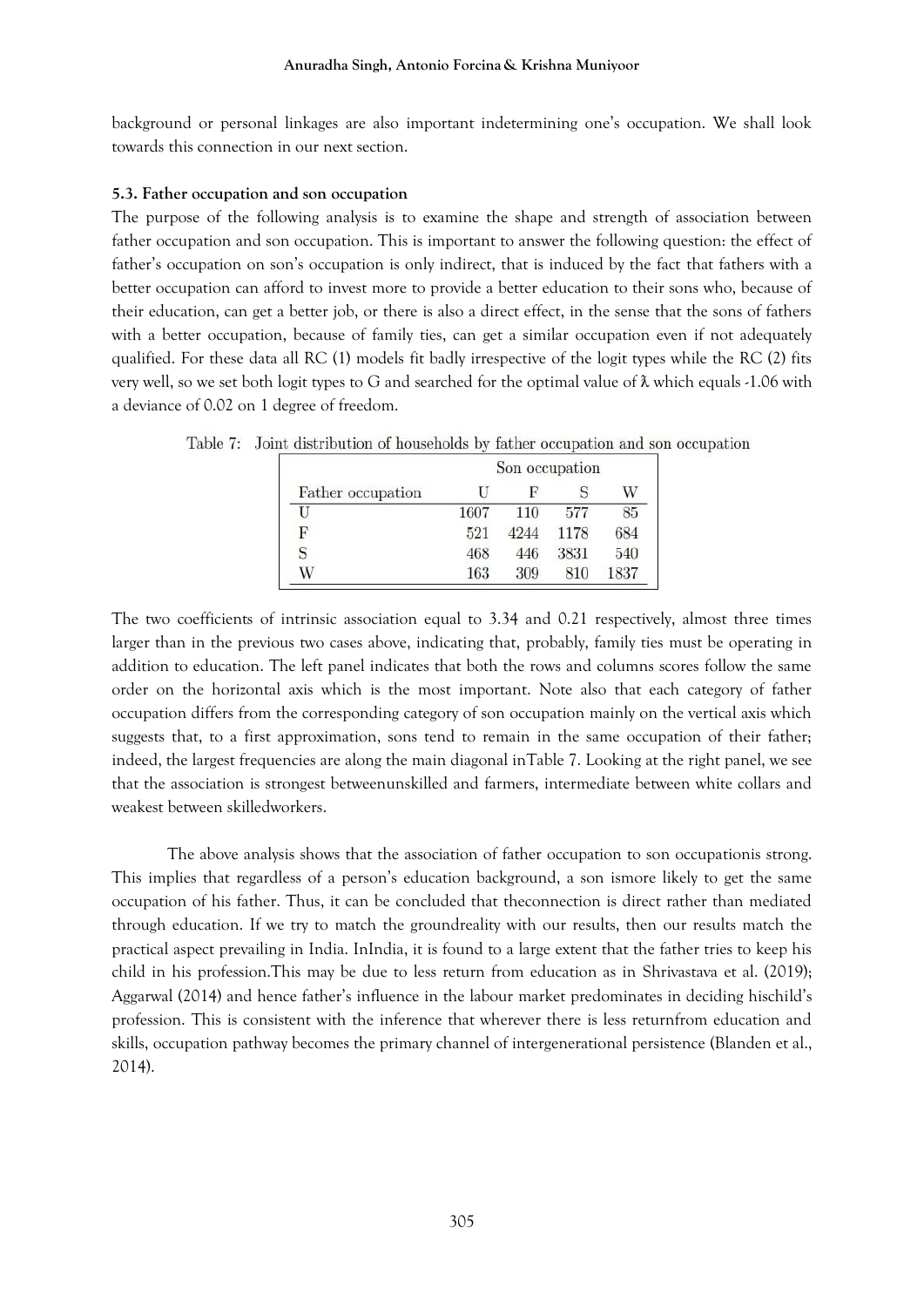background or personal linkages are also important indetermining one's occupation. We shall look towards this connection in our next section.

# **5.3. Father occupation and son occupation**

The purpose of the following analysis is to examine the shape and strength of association between father occupation and son occupation. This is important to answer the following question: the effect of father's occupation on son's occupation is only indirect, that is induced by the fact that fathers with a better occupation can afford to invest more to provide a better education to their sons who, because of their education, can get a better job, or there is also a direct effect, in the sense that the sons of fathers with a better occupation, because of family ties, can get a similar occupation even if not adequately qualified. For these data all RC (1) models fit badly irrespective of the logit types while the RC (2) fits very well, so we set both logit types to G and searched for the optimal value of  $\lambda$  which equals -1.06 with a deviance of 0.02 on 1 degree of freedom.

|                   | Son occupation |      |      |      |  |  |
|-------------------|----------------|------|------|------|--|--|
| Father occupation | ы              | н    |      | W    |  |  |
|                   | 1607           | 110  | 577  | 85   |  |  |
| F                 | 521            | 4244 | 1178 | 684  |  |  |
|                   | 468            | 446  | 3831 | 540  |  |  |
| W                 | 163            | 309  | 810  | 1837 |  |  |

Table 7: Joint distribution of households by father occupation and son occupation

The two coefficients of intrinsic association equal to 3.34 and 0.21 respectively, almost three times larger than in the previous two cases above, indicating that, probably, family ties must be operating in addition to education. The left panel indicates that both the rows and columns scores follow the same order on the horizontal axis which is the most important. Note also that each category of father occupation differs from the corresponding category of son occupation mainly on the vertical axis which suggests that, to a first approximation, sons tend to remain in the same occupation of their father; indeed, the largest frequencies are along the main diagonal inTable 7. Looking at the right panel, we see that the association is strongest betweenunskilled and farmers, intermediate between white collars and weakest between skilledworkers.

The above analysis shows that the association of father occupation to son occupationis strong. This implies that regardless of a person's education background, a son ismore likely to get the same occupation of his father. Thus, it can be concluded that theconnection is direct rather than mediated through education. If we try to match the groundreality with our results, then our results match the practical aspect prevailing in India. InIndia, it is found to a large extent that the father tries to keep his child in his profession.This may be due to less return from education as in Shrivastava et al. (2019); Aggarwal (2014) and hence father's influence in the labour market predominates in deciding hischild's profession. This is consistent with the inference that wherever there is less returnfrom education and skills, occupation pathway becomes the primary channel of intergenerational persistence (Blanden et al., 2014).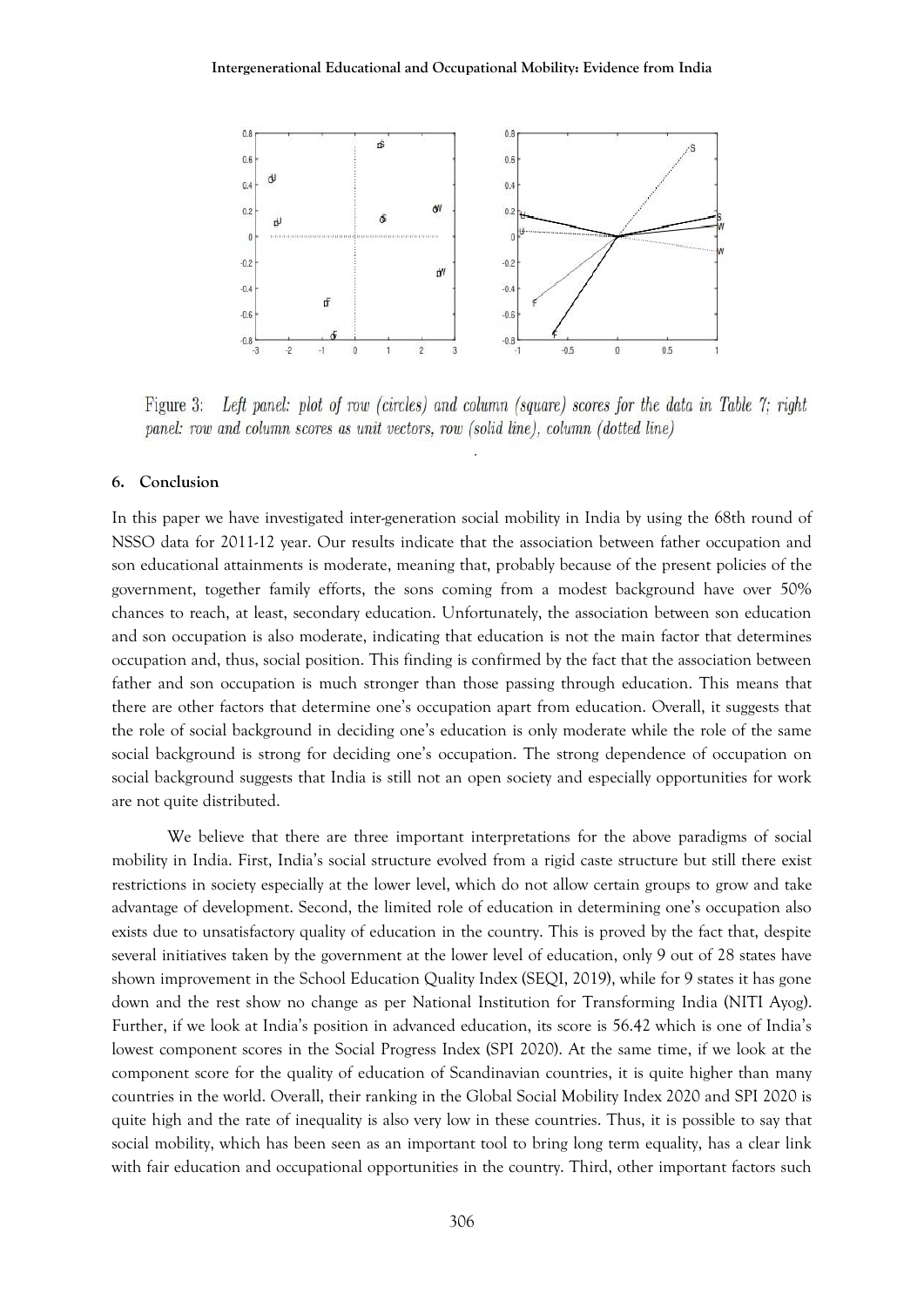#### **Intergenerational Educational and Occupational Mobility: Evidence from India**



Figure 3: Left panel: plot of row (circles) and column (square) scores for the data in Table 7: right panel: row and column scores as unit vectors, row (solid line), column (dotted line)

## **6. Conclusion**

In this paper we have investigated inter-generation social mobility in India by using the 68th round of NSSO data for 2011-12 year. Our results indicate that the association between father occupation and son educational attainments is moderate, meaning that, probably because of the present policies of the government, together family efforts, the sons coming from a modest background have over 50% chances to reach, at least, secondary education. Unfortunately, the association between son education and son occupation is also moderate, indicating that education is not the main factor that determines occupation and, thus, social position. This finding is confirmed by the fact that the association between father and son occupation is much stronger than those passing through education. This means that there are other factors that determine one's occupation apart from education. Overall, it suggests that the role of social background in deciding one's education is only moderate while the role of the same social background is strong for deciding one's occupation. The strong dependence of occupation on social background suggests that India is still not an open society and especially opportunities for work are not quite distributed.

We believe that there are three important interpretations for the above paradigms of social mobility in India. First, India's social structure evolved from a rigid caste structure but still there exist restrictions in society especially at the lower level, which do not allow certain groups to grow and take advantage of development. Second, the limited role of education in determining one's occupation also exists due to unsatisfactory quality of education in the country. This is proved by the fact that, despite several initiatives taken by the government at the lower level of education, only 9 out of 28 states have shown improvement in the School Education Quality Index (SEQI, 2019), while for 9 states it has gone down and the rest show no change as per National Institution for Transforming India (NITI Ayog). Further, if we look at India's position in advanced education, its score is 56.42 which is one of India's lowest component scores in the Social Progress Index (SPI 2020). At the same time, if we look at the component score for the quality of education of Scandinavian countries, it is quite higher than many countries in the world. Overall, their ranking in the Global Social Mobility Index 2020 and SPI 2020 is quite high and the rate of inequality is also very low in these countries. Thus, it is possible to say that social mobility, which has been seen as an important tool to bring long term equality, has a clear link with fair education and occupational opportunities in the country. Third, other important factors such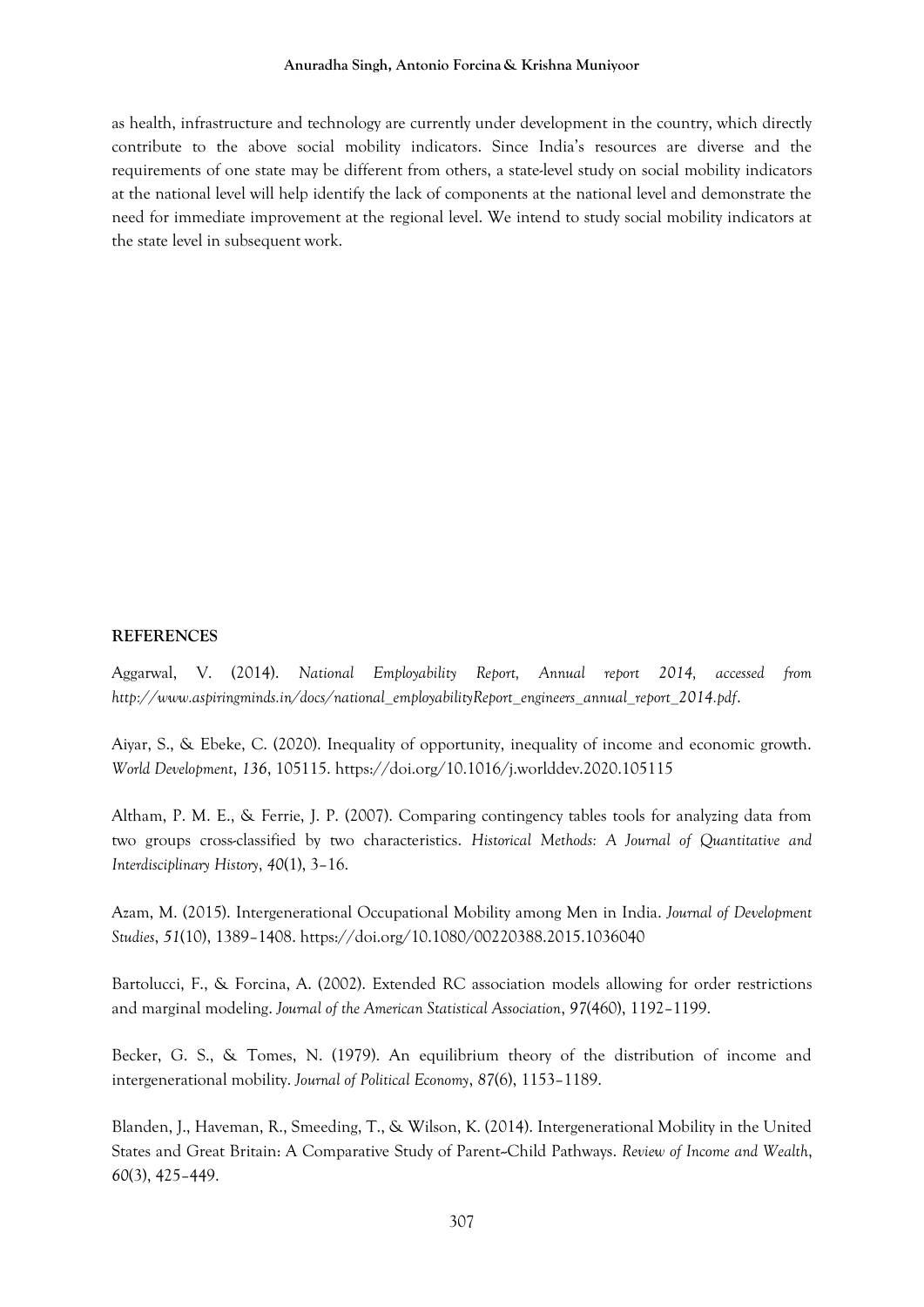#### **Anuradha Singh, Antonio Forcina & Krishna Muniyoor**

as health, infrastructure and technology are currently under development in the country, which directly contribute to the above social mobility indicators. Since India's resources are diverse and the requirements of one state may be different from others, a state-level study on social mobility indicators at the national level will help identify the lack of components at the national level and demonstrate the need for immediate improvement at the regional level. We intend to study social mobility indicators at the state level in subsequent work.

# **REFERENCES**

Aggarwal, V. (2014). *National Employability Report, Annual report 2014, accessed from http://www.aspiringminds.in/docs/national\_employabilityReport\_engineers\_annual\_report\_2014.pdf*.

Aiyar, S., & Ebeke, C. (2020). Inequality of opportunity, inequality of income and economic growth. *World Development*, *136*, 105115. https://doi.org/10.1016/j.worlddev.2020.105115

Altham, P. M. E., & Ferrie, J. P. (2007). Comparing contingency tables tools for analyzing data from two groups cross-classified by two characteristics. *Historical Methods: A Journal of Quantitative and Interdisciplinary History*, *40*(1), 3–16.

Azam, M. (2015). Intergenerational Occupational Mobility among Men in India. *Journal of Development Studies*, *51*(10), 1389–1408. https://doi.org/10.1080/00220388.2015.1036040

Bartolucci, F., & Forcina, A. (2002). Extended RC association models allowing for order restrictions and marginal modeling. *Journal of the American Statistical Association*, *97*(460), 1192–1199.

Becker, G. S., & Tomes, N. (1979). An equilibrium theory of the distribution of income and intergenerational mobility. *Journal of Political Economy*, *87*(6), 1153–1189.

Blanden, J., Haveman, R., Smeeding, T., & Wilson, K. (2014). Intergenerational Mobility in the United States and Great Britain: A Comparative Study of Parent--Child Pathways. *Review of Income and Wealth*, *60*(3), 425–449.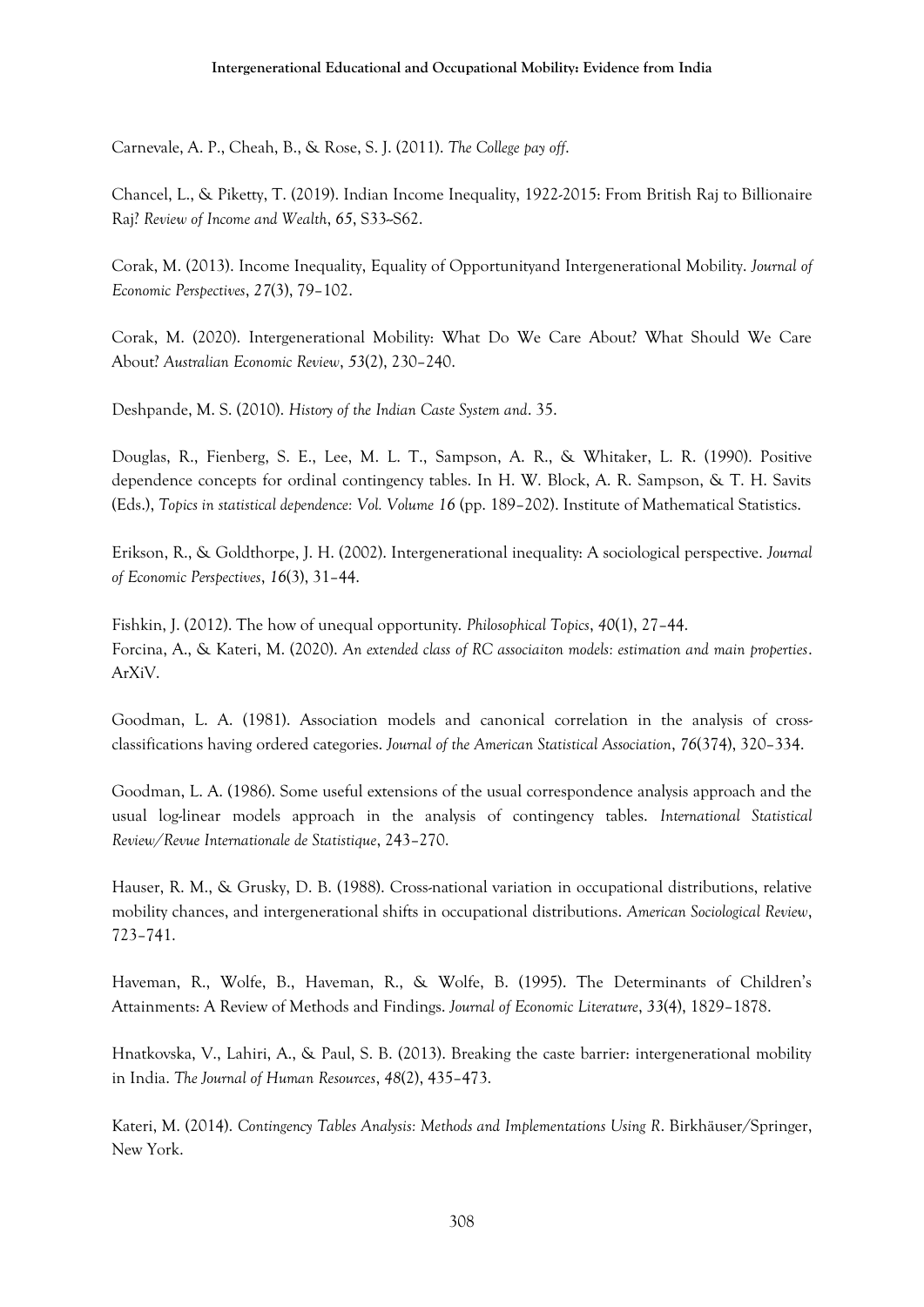Carnevale, A. P., Cheah, B., & Rose, S. J. (2011). *The College pay off*.

Chancel, L., & Piketty, T. (2019). Indian Income Inequality, 1922-2015: From British Raj to Billionaire Raj? *Review of Income and Wealth*, *65*, S33--S62.

Corak, M. (2013). Income Inequality, Equality of Opportunityand Intergenerational Mobility. *Journal of Economic Perspectives*, *27*(3), 79–102.

Corak, M. (2020). Intergenerational Mobility: What Do We Care About? What Should We Care About? *Australian Economic Review*, *53*(2), 230–240.

Deshpande, M. S. (2010). *History of the Indian Caste System and*. 35.

Douglas, R., Fienberg, S. E., Lee, M. L. T., Sampson, A. R., & Whitaker, L. R. (1990). Positive dependence concepts for ordinal contingency tables. In H. W. Block, A. R. Sampson, & T. H. Savits (Eds.), *Topics in statistical dependence: Vol. Volume 16* (pp. 189–202). Institute of Mathematical Statistics.

Erikson, R., & Goldthorpe, J. H. (2002). Intergenerational inequality: A sociological perspective. *Journal of Economic Perspectives*, *16*(3), 31–44.

Fishkin, J. (2012). The how of unequal opportunity. *Philosophical Topics*, *40*(1), 27–44. Forcina, A., & Kateri, M. (2020). *An extended class of RC associaiton models: estimation and main properties*. ArXiV.

Goodman, L. A. (1981). Association models and canonical correlation in the analysis of crossclassifications having ordered categories. *Journal of the American Statistical Association*, *76*(374), 320–334.

Goodman, L. A. (1986). Some useful extensions of the usual correspondence analysis approach and the usual log-linear models approach in the analysis of contingency tables. *International Statistical Review/Revue Internationale de Statistique*, 243–270.

Hauser, R. M., & Grusky, D. B. (1988). Cross-national variation in occupational distributions, relative mobility chances, and intergenerational shifts in occupational distributions. *American Sociological Review*, 723–741.

Haveman, R., Wolfe, B., Haveman, R., & Wolfe, B. (1995). The Determinants of Children's Attainments: A Review of Methods and Findings. *Journal of Economic Literature*, *33*(4), 1829–1878.

Hnatkovska, V., Lahiri, A., & Paul, S. B. (2013). Breaking the caste barrier: intergenerational mobility in India. *The Journal of Human Resources*, *48*(2), 435–473.

Kateri, M. (2014). *Contingency Tables Analysis: Methods and Implementations Using R*. Birkhäuser/Springer, New York.